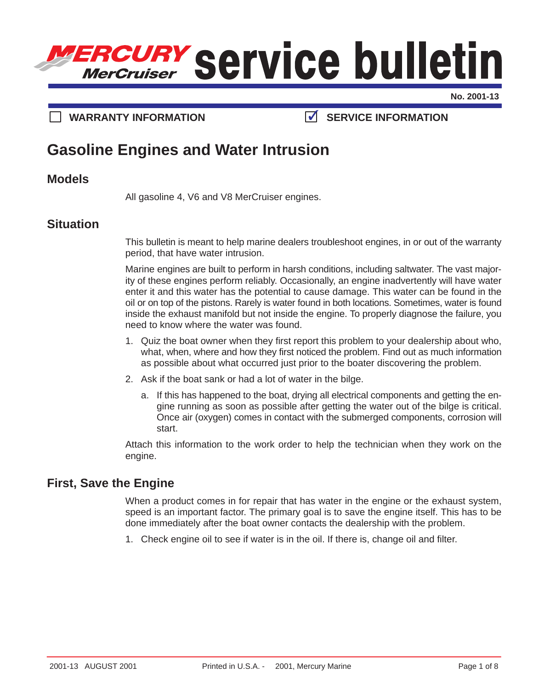

**No. 2001-13**

# **WARRANTY INFORMATION SERVICE INFORMATION**

# **Gasoline Engines and Water Intrusion**

#### **Models**

All gasoline 4, V6 and V8 MerCruiser engines.

# **Situation**

This bulletin is meant to help marine dealers troubleshoot engines, in or out of the warranty period, that have water intrusion.

Marine engines are built to perform in harsh conditions, including saltwater. The vast majority of these engines perform reliably. Occasionally, an engine inadvertently will have water enter it and this water has the potential to cause damage. This water can be found in the oil or on top of the pistons. Rarely is water found in both locations. Sometimes, water is found inside the exhaust manifold but not inside the engine. To properly diagnose the failure, you need to know where the water was found.

- 1. Quiz the boat owner when they first report this problem to your dealership about who, what, when, where and how they first noticed the problem. Find out as much information as possible about what occurred just prior to the boater discovering the problem.
- 2. Ask if the boat sank or had a lot of water in the bilge.
	- a. If this has happened to the boat, drying all electrical components and getting the engine running as soon as possible after getting the water out of the bilge is critical. Once air (oxygen) comes in contact with the submerged components, corrosion will start.

Attach this information to the work order to help the technician when they work on the engine.

## **First, Save the Engine**

When a product comes in for repair that has water in the engine or the exhaust system, speed is an important factor. The primary goal is to save the engine itself. This has to be done immediately after the boat owner contacts the dealership with the problem.

1. Check engine oil to see if water is in the oil. If there is, change oil and filter.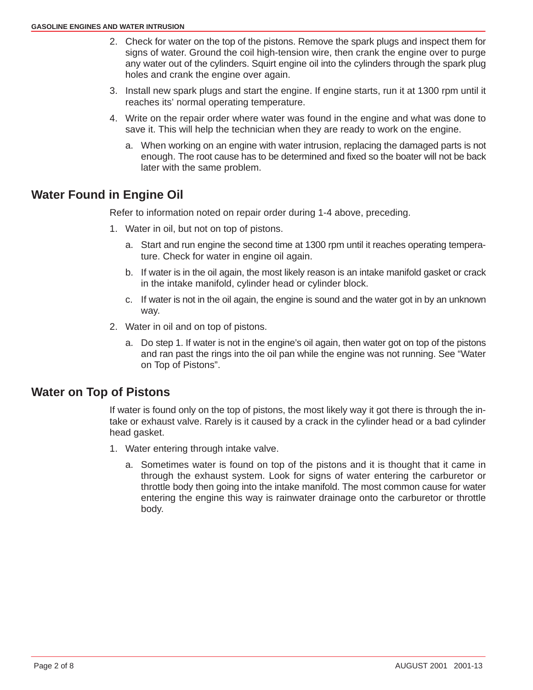- 2. Check for water on the top of the pistons. Remove the spark plugs and inspect them for signs of water. Ground the coil high-tension wire, then crank the engine over to purge any water out of the cylinders. Squirt engine oil into the cylinders through the spark plug holes and crank the engine over again.
- 3. Install new spark plugs and start the engine. If engine starts, run it at 1300 rpm until it reaches its' normal operating temperature.
- 4. Write on the repair order where water was found in the engine and what was done to save it. This will help the technician when they are ready to work on the engine.
	- a. When working on an engine with water intrusion, replacing the damaged parts is not enough. The root cause has to be determined and fixed so the boater will not be back later with the same problem.

# **Water Found in Engine Oil**

Refer to information noted on repair order during 1-4 above, preceding.

- 1. Water in oil, but not on top of pistons.
	- a. Start and run engine the second time at 1300 rpm until it reaches operating temperature. Check for water in engine oil again.
	- b. If water is in the oil again, the most likely reason is an intake manifold gasket or crack in the intake manifold, cylinder head or cylinder block.
	- c. If water is not in the oil again, the engine is sound and the water got in by an unknown way.
- 2. Water in oil and on top of pistons.
	- a. Do step 1. If water is not in the engine's oil again, then water got on top of the pistons and ran past the rings into the oil pan while the engine was not running. See "Water on Top of Pistons".

# **Water on Top of Pistons**

If water is found only on the top of pistons, the most likely way it got there is through the intake or exhaust valve. Rarely is it caused by a crack in the cylinder head or a bad cylinder head gasket.

- 1. Water entering through intake valve.
	- a. Sometimes water is found on top of the pistons and it is thought that it came in through the exhaust system. Look for signs of water entering the carburetor or throttle body then going into the intake manifold. The most common cause for water entering the engine this way is rainwater drainage onto the carburetor or throttle body.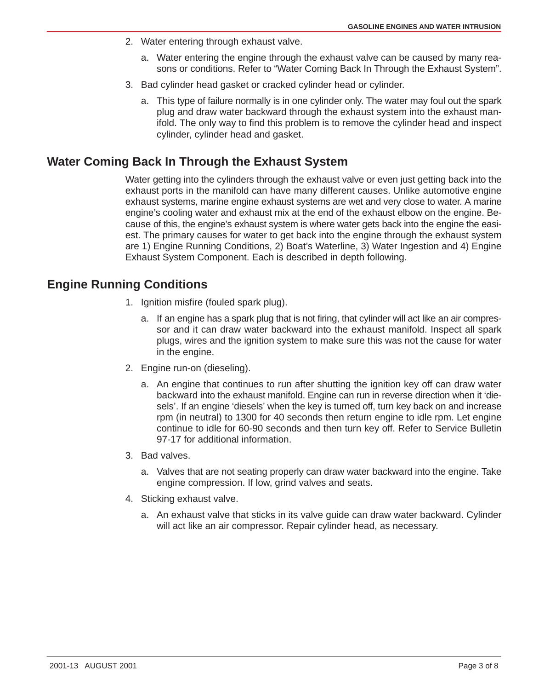- 2. Water entering through exhaust valve.
	- a. Water entering the engine through the exhaust valve can be caused by many reasons or conditions. Refer to "Water Coming Back In Through the Exhaust System".
- 3. Bad cylinder head gasket or cracked cylinder head or cylinder.
	- a. This type of failure normally is in one cylinder only. The water may foul out the spark plug and draw water backward through the exhaust system into the exhaust manifold. The only way to find this problem is to remove the cylinder head and inspect cylinder, cylinder head and gasket.

# **Water Coming Back In Through the Exhaust System**

Water getting into the cylinders through the exhaust valve or even just getting back into the exhaust ports in the manifold can have many different causes. Unlike automotive engine exhaust systems, marine engine exhaust systems are wet and very close to water. A marine engine's cooling water and exhaust mix at the end of the exhaust elbow on the engine. Because of this, the engine's exhaust system is where water gets back into the engine the easiest. The primary causes for water to get back into the engine through the exhaust system are 1) Engine Running Conditions, 2) Boat's Waterline, 3) Water Ingestion and 4) Engine Exhaust System Component. Each is described in depth following.

# **Engine Running Conditions**

- 1. Ignition misfire (fouled spark plug).
	- a. If an engine has a spark plug that is not firing, that cylinder will act like an air compressor and it can draw water backward into the exhaust manifold. Inspect all spark plugs, wires and the ignition system to make sure this was not the cause for water in the engine.
- 2. Engine run-on (dieseling).
	- a. An engine that continues to run after shutting the ignition key off can draw water backward into the exhaust manifold. Engine can run in reverse direction when it 'diesels'. If an engine 'diesels' when the key is turned off, turn key back on and increase rpm (in neutral) to 1300 for 40 seconds then return engine to idle rpm. Let engine continue to idle for 60-90 seconds and then turn key off. Refer to Service Bulletin 97-17 for additional information.
- 3. Bad valves.
	- a. Valves that are not seating properly can draw water backward into the engine. Take engine compression. If low, grind valves and seats.
- 4. Sticking exhaust valve.
	- a. An exhaust valve that sticks in its valve guide can draw water backward. Cylinder will act like an air compressor. Repair cylinder head, as necessary.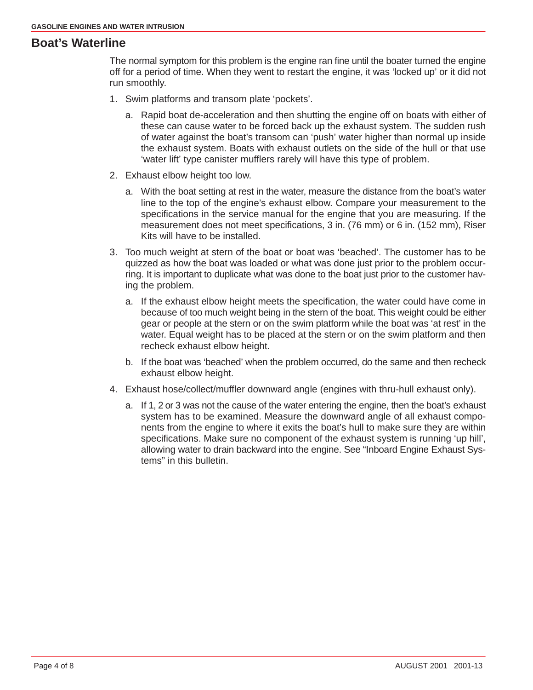#### **Boat's Waterline**

The normal symptom for this problem is the engine ran fine until the boater turned the engine off for a period of time. When they went to restart the engine, it was 'locked up' or it did not run smoothly.

- 1. Swim platforms and transom plate 'pockets'.
	- a. Rapid boat de-acceleration and then shutting the engine off on boats with either of these can cause water to be forced back up the exhaust system. The sudden rush of water against the boat's transom can 'push' water higher than normal up inside the exhaust system. Boats with exhaust outlets on the side of the hull or that use 'water lift' type canister mufflers rarely will have this type of problem.
- 2. Exhaust elbow height too low.
	- a. With the boat setting at rest in the water, measure the distance from the boat's water line to the top of the engine's exhaust elbow. Compare your measurement to the specifications in the service manual for the engine that you are measuring. If the measurement does not meet specifications, 3 in. (76 mm) or 6 in. (152 mm), Riser Kits will have to be installed.
- 3. Too much weight at stern of the boat or boat was 'beached'. The customer has to be quizzed as how the boat was loaded or what was done just prior to the problem occurring. It is important to duplicate what was done to the boat just prior to the customer having the problem.
	- a. If the exhaust elbow height meets the specification, the water could have come in because of too much weight being in the stern of the boat. This weight could be either gear or people at the stern or on the swim platform while the boat was 'at rest' in the water. Equal weight has to be placed at the stern or on the swim platform and then recheck exhaust elbow height.
	- b. If the boat was 'beached' when the problem occurred, do the same and then recheck exhaust elbow height.
- 4. Exhaust hose/collect/muffler downward angle (engines with thru-hull exhaust only).
	- a. If 1, 2 or 3 was not the cause of the water entering the engine, then the boat's exhaust system has to be examined. Measure the downward angle of all exhaust components from the engine to where it exits the boat's hull to make sure they are within specifications. Make sure no component of the exhaust system is running 'up hill', allowing water to drain backward into the engine. See "Inboard Engine Exhaust Systems" in this bulletin.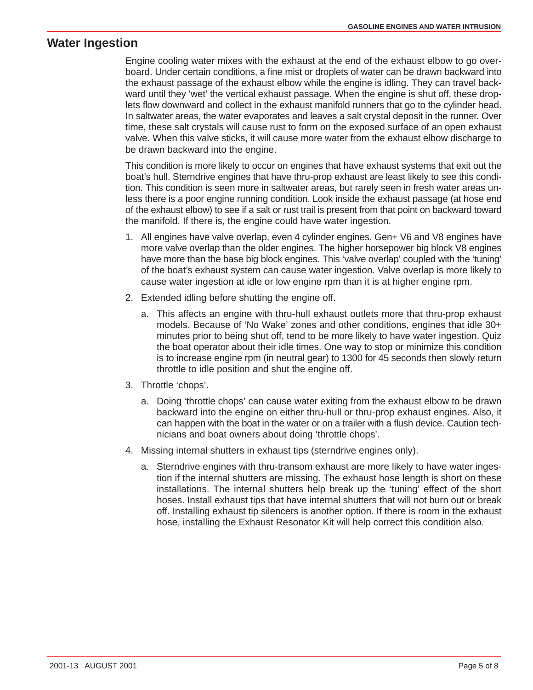## **Water Ingestion**

Engine cooling water mixes with the exhaust at the end of the exhaust elbow to go overboard. Under certain conditions, a fine mist or droplets of water can be drawn backward into the exhaust passage of the exhaust elbow while the engine is idling. They can travel backward until they 'wet' the vertical exhaust passage. When the engine is shut off, these droplets flow downward and collect in the exhaust manifold runners that go to the cylinder head. In saltwater areas, the water evaporates and leaves a salt crystal deposit in the runner. Over time, these salt crystals will cause rust to form on the exposed surface of an open exhaust valve. When this valve sticks, it will cause more water from the exhaust elbow discharge to be drawn backward into the engine.

This condition is more likely to occur on engines that have exhaust systems that exit out the boat's hull. Sterndrive engines that have thru-prop exhaust are least likely to see this condition. This condition is seen more in saltwater areas, but rarely seen in fresh water areas unless there is a poor engine running condition. Look inside the exhaust passage (at hose end of the exhaust elbow) to see if a salt or rust trail is present from that point on backward toward the manifold. If there is, the engine could have water ingestion.

- 1. All engines have valve overlap, even 4 cylinder engines. Gen+ V6 and V8 engines have more valve overlap than the older engines. The higher horsepower big block V8 engines have more than the base big block engines. This 'valve overlap' coupled with the 'tuning' of the boat's exhaust system can cause water ingestion. Valve overlap is more likely to cause water ingestion at idle or low engine rpm than it is at higher engine rpm.
- 2. Extended idling before shutting the engine off.
	- a. This affects an engine with thru-hull exhaust outlets more that thru-prop exhaust models. Because of 'No Wake' zones and other conditions, engines that idle 30+ minutes prior to being shut off, tend to be more likely to have water ingestion. Quiz the boat operator about their idle times. One way to stop or minimize this condition is to increase engine rpm (in neutral gear) to 1300 for 45 seconds then slowly return throttle to idle position and shut the engine off.
- 3. Throttle 'chops'.
	- a. Doing 'throttle chops' can cause water exiting from the exhaust elbow to be drawn backward into the engine on either thru-hull or thru-prop exhaust engines. Also, it can happen with the boat in the water or on a trailer with a flush device. Caution technicians and boat owners about doing 'throttle chops'.
- 4. Missing internal shutters in exhaust tips (sterndrive engines only).
	- a. Sterndrive engines with thru-transom exhaust are more likely to have water ingestion if the internal shutters are missing. The exhaust hose length is short on these installations. The internal shutters help break up the 'tuning' effect of the short hoses. Install exhaust tips that have internal shutters that will not burn out or break off. Installing exhaust tip silencers is another option. If there is room in the exhaust hose, installing the Exhaust Resonator Kit will help correct this condition also.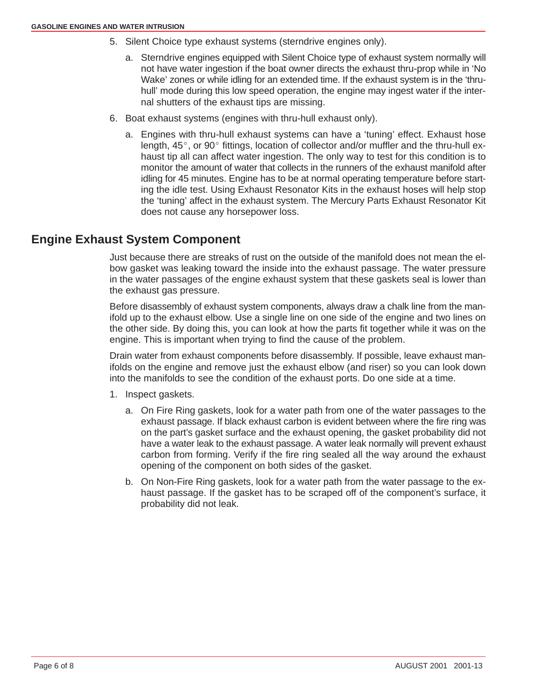- 5. Silent Choice type exhaust systems (sterndrive engines only).
	- a. Sterndrive engines equipped with Silent Choice type of exhaust system normally will not have water ingestion if the boat owner directs the exhaust thru-prop while in 'No Wake' zones or while idling for an extended time. If the exhaust system is in the 'thruhull' mode during this low speed operation, the engine may ingest water if the internal shutters of the exhaust tips are missing.
- 6. Boat exhaust systems (engines with thru-hull exhaust only).
	- a. Engines with thru-hull exhaust systems can have a 'tuning' effect. Exhaust hose<br>length, 45°, or 90° fittings, location of collector and/or muffler and the thru-hull exhaust tip all can affect water ingestion. The only way to test for this condition is to monitor the amount of water that collects in the runners of the exhaust manifold after idling for 45 minutes. Engine has to be at normal operating temperature before starting the idle test. Using Exhaust Resonator Kits in the exhaust hoses will help stop the 'tuning' affect in the exhaust system. The Mercury Parts Exhaust Resonator Kit does not cause any horsepower loss.

## **Engine Exhaust System Component**

Just because there are streaks of rust on the outside of the manifold does not mean the elbow gasket was leaking toward the inside into the exhaust passage. The water pressure in the water passages of the engine exhaust system that these gaskets seal is lower than the exhaust gas pressure.

Before disassembly of exhaust system components, always draw a chalk line from the manifold up to the exhaust elbow. Use a single line on one side of the engine and two lines on the other side. By doing this, you can look at how the parts fit together while it was on the engine. This is important when trying to find the cause of the problem.

Drain water from exhaust components before disassembly. If possible, leave exhaust manifolds on the engine and remove just the exhaust elbow (and riser) so you can look down into the manifolds to see the condition of the exhaust ports. Do one side at a time.

- 1. Inspect gaskets.
	- a. On Fire Ring gaskets, look for a water path from one of the water passages to the exhaust passage. If black exhaust carbon is evident between where the fire ring was on the part's gasket surface and the exhaust opening, the gasket probability did not have a water leak to the exhaust passage. A water leak normally will prevent exhaust carbon from forming. Verify if the fire ring sealed all the way around the exhaust opening of the component on both sides of the gasket.
	- b. On Non-Fire Ring gaskets, look for a water path from the water passage to the exhaust passage. If the gasket has to be scraped off of the component's surface, it probability did not leak.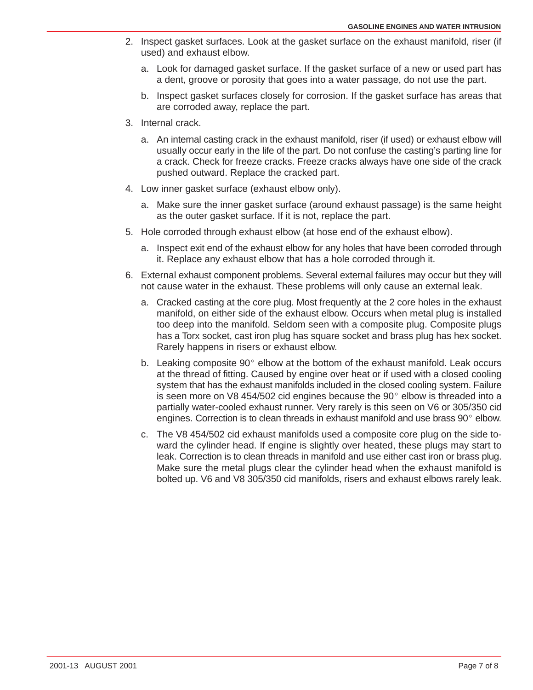- 2. Inspect gasket surfaces. Look at the gasket surface on the exhaust manifold, riser (if used) and exhaust elbow.
	- a. Look for damaged gasket surface. If the gasket surface of a new or used part has a dent, groove or porosity that goes into a water passage, do not use the part.
	- b. Inspect gasket surfaces closely for corrosion. If the gasket surface has areas that are corroded away, replace the part.
- 3. Internal crack.
	- a. An internal casting crack in the exhaust manifold, riser (if used) or exhaust elbow will usually occur early in the life of the part. Do not confuse the casting's parting line for a crack. Check for freeze cracks. Freeze cracks always have one side of the crack pushed outward. Replace the cracked part.
- 4. Low inner gasket surface (exhaust elbow only).
	- a. Make sure the inner gasket surface (around exhaust passage) is the same height as the outer gasket surface. If it is not, replace the part.
- 5. Hole corroded through exhaust elbow (at hose end of the exhaust elbow).
	- a. Inspect exit end of the exhaust elbow for any holes that have been corroded through it. Replace any exhaust elbow that has a hole corroded through it.
- 6. External exhaust component problems. Several external failures may occur but they will not cause water in the exhaust. These problems will only cause an external leak.
	- a. Cracked casting at the core plug. Most frequently at the 2 core holes in the exhaust manifold, on either side of the exhaust elbow. Occurs when metal plug is installed too deep into the manifold. Seldom seen with a composite plug. Composite plugs has a Torx socket, cast iron plug has square socket and brass plug has hex socket. Rarely happens in risers or exhaust elbow.
	- b. Leaking composite  $90^{\circ}$  elbow at the bottom of the exhaust manifold. Leak occurs at the thread of fitting. Caused by engine over heat or if used with a closed cooling system that has the exhaust manifolds included in the closed cooling system. Failure is seen more on V8 454/502 cid engines because the 90 elbow is threaded into a partially water-cooled exhaust runner. Very rarely is this seen on V6 or 305/350 cid engines. Correction is to clean threads in exhaust manifold and use brass 90 elbow.
	- c. The V8 454/502 cid exhaust manifolds used a composite core plug on the side toward the cylinder head. If engine is slightly over heated, these plugs may start to leak. Correction is to clean threads in manifold and use either cast iron or brass plug. Make sure the metal plugs clear the cylinder head when the exhaust manifold is bolted up. V6 and V8 305/350 cid manifolds, risers and exhaust elbows rarely leak.